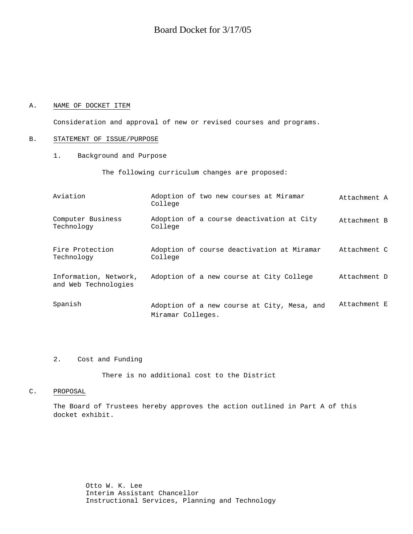### A. NAME OF DOCKET ITEM

Consideration and approval of new or revised courses and programs.

#### B. STATEMENT OF ISSUE/PURPOSE

1. Background and Purpose

The following curriculum changes are proposed:

| Aviation                                      | Adoption of two new courses at Miramar<br>College                | Attachment A |
|-----------------------------------------------|------------------------------------------------------------------|--------------|
| Computer Business<br>Technology               | Adoption of a course deactivation at City<br>College             | Attachment B |
| Fire Protection<br>Technology                 | Adoption of course deactivation at Miramar<br>College            | Attachment C |
| Information, Network,<br>and Web Technologies | Adoption of a new course at City College                         | Attachment D |
| Spanish                                       | Adoption of a new course at City, Mesa, and<br>Miramar Colleges. | Attachment E |

### 2. Cost and Funding

There is no additional cost to the District

#### C. PROPOSAL

The Board of Trustees hereby approves the action outlined in Part A of this docket exhibit.

> Otto W. K. Lee Interim Assistant Chancellor Instructional Services, Planning and Technology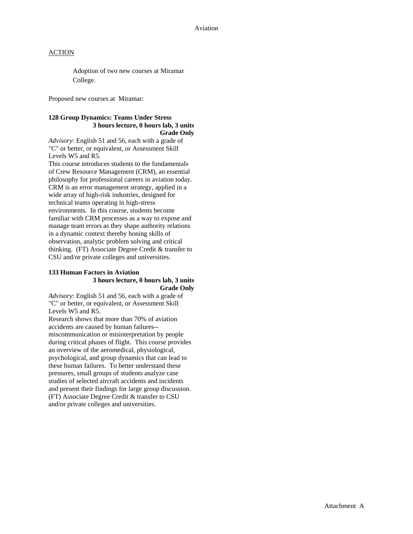Adoption of two new courses at Miramar College.

Proposed new courses at Miramar:

#### **128 Group Dynamics: Teams Under Stress 3 hours lecture, 0 hours lab, 3 units Grade Only**

*Advisory*: English 51 and 56, each with a grade of "C" or better, or equivalent, or Assessment Skill Levels W5 and R5.

This course introduces students to the fundamentals of Crew Resource Management (CRM), an essential philosophy for professional careers in aviation today. CRM is an error management strategy, applied in a wide array of high-risk industries, designed for technical teams operating in high-stress environments. In this course, students become familiar with CRM processes as a way to expose and manage team errors as they shape authority relations in a dynamic context thereby honing skills of observation, analytic problem solving and critical thinking. (FT) Associate Degree Credit & transfer to CSU and/or private colleges and universities.

### **133 Human Factors in Aviation 3 hours lecture, 0 hours lab, 3 units Grade Only**

*Advisory*: English 51 and 56, each with a grade of "C" or better, or equivalent, or Assessment Skill Levels W5 and R5.

Research shows that more than 70% of aviation accidents are caused by human failures- miscommunication or misinterpretation by people during critical phases of flight. This course provides an overview of the aeromedical, physiological, psychological, and group dynamics that can lead to these human failures. To better understand these pressures, small groups of students analyze case studies of selected aircraft accidents and incidents and present their findings for large group discussion. (FT) Associate Degree Credit & transfer to CSU and/or private colleges and universities.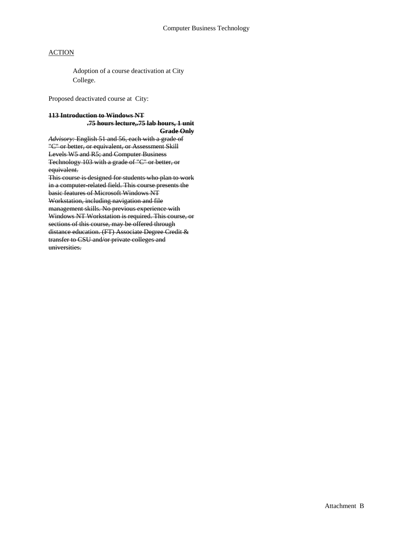Adoption of a course deactivation at City College.

Proposed deactivated course at City:

# **113 Introduction to Windows NT .75 hours lecture,.75 lab hours, 1 unit**

**Grade Only** *Advisory:* English 51 and 56, each with a grade of "C" or better, or equivalent, or Assessment Skill Levels W5 and R5; and Computer Business Technology 103 with a grade of "C" or better, or equivalent.

This course is designed for students who plan to work in a computer-related field. This course presents the basic features of Microsoft Windows NT Workstation, including navigation and file management skills. No previous experience with Windows NT Workstation is required. This course, or sections of this course, may be offered through distance education. (FT) Associate Degree Credit & transfer to CSU and/or private colleges and universities.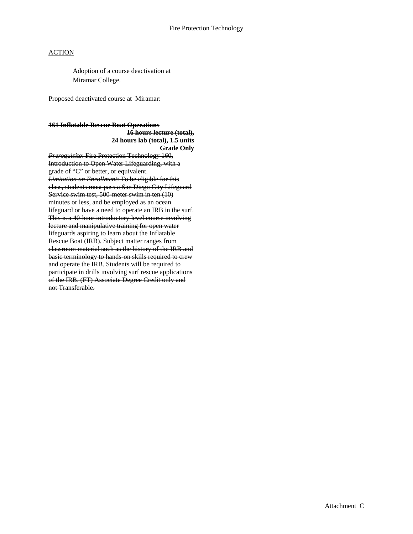Adoption of a course deactivation at Miramar College.

Proposed deactivated course at Miramar:

### **161 Inflatable Rescue Boat Operations 16 hours lecture (total), 24 hours lab (total), 1.5 units Grade Only**

*Prerequisite*: Fire Protection Technology 160, Introduction to Open Water Lifeguarding, with a grade of "C" or better, or equivalent. *Limitation on Enrollment*: To be eligible for this class, students must pass a San Diego City Lifeguard Service swim test, 500 meter swim in ten (10) minutes or less, and be employed as an ocean lifeguard or have a need to operate an IRB in the surf. This is a 40-hour introductory level course involving lecture and manipulative training for open water lifeguards aspiring to learn about the Inflatable Rescue Boat (IRB). Subject matter ranges from classroom material such as the history of the IRB and basic terminology to hands-on skills required to crew and operate the IRB. Students will be required to participate in drills involving surf rescue applications of the IRB. (FT) Associate Degree Credit only and not Transferable.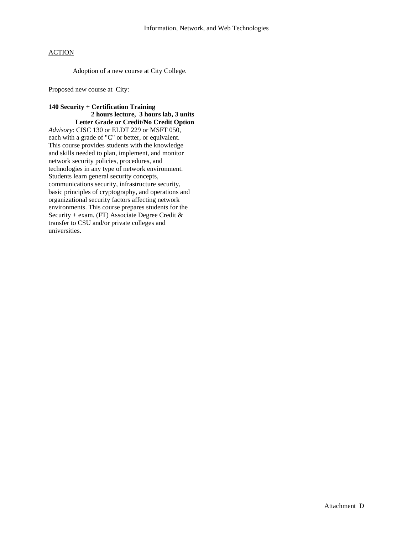Adoption of a new course at City College.

Proposed new course at City:

## **140 Security + Certification Training 2 hours lecture, 3 hours lab, 3 units Letter Grade or Credit/No Credit Option**

*Advisory*: CISC 130 or ELDT 229 or MSFT 050, each with a grade of "C" or better, or equivalent. This course provides students with the knowledge and skills needed to plan, implement, and monitor network security policies, procedures, and technologies in any type of network environment. Students learn general security concepts, communications security, infrastructure security, basic principles of cryptography, and operations and organizational security factors affecting network environments. This course prepares students for the Security + exam. (FT) Associate Degree Credit & transfer to CSU and/or private colleges and universities.